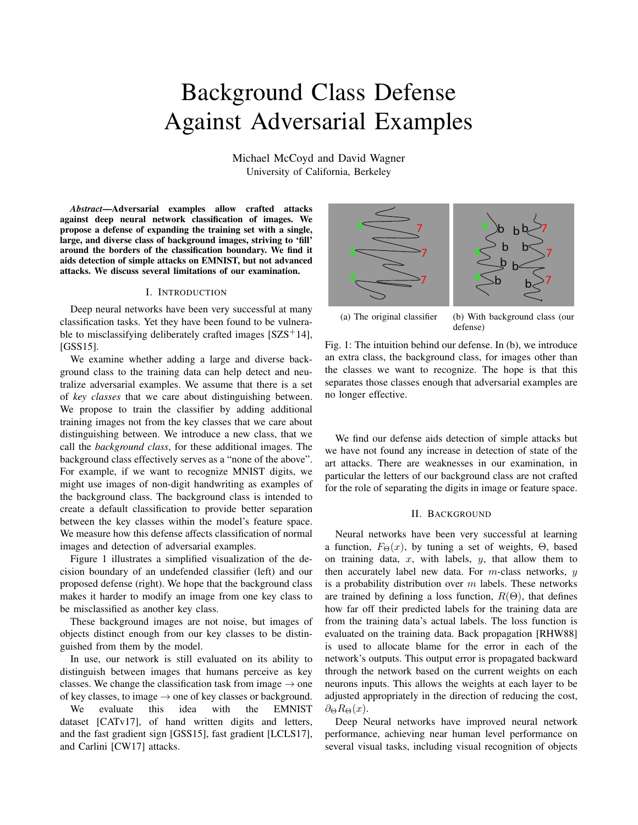# Background Class Defense Against Adversarial Examples

Michael McCoyd and David Wagner University of California, Berkeley

*Abstract*—Adversarial examples allow crafted attacks against deep neural network classification of images. We propose a defense of expanding the training set with a single, large, and diverse class of background images, striving to 'fill' around the borders of the classification boundary. We find it aids detection of simple attacks on EMNIST, but not advanced attacks. We discuss several limitations of our examination.

## I. INTRODUCTION

Deep neural networks have been very successful at many classification tasks. Yet they have been found to be vulnerable to misclassifying deliberately crafted images  $[SZS^+14]$ , [GSS15].

We examine whether adding a large and diverse background class to the training data can help detect and neutralize adversarial examples. We assume that there is a set of *key classes* that we care about distinguishing between. We propose to train the classifier by adding additional training images not from the key classes that we care about distinguishing between. We introduce a new class, that we call the *background class*, for these additional images. The background class effectively serves as a "none of the above". For example, if we want to recognize MNIST digits, we might use images of non-digit handwriting as examples of the background class. The background class is intended to create a default classification to provide better separation between the key classes within the model's feature space. We measure how this defense affects classification of normal images and detection of adversarial examples. propose a deform of reparation in tertaining set with a single,<br>
and diverse charge of the charge of the charge of the charge of the control and diverse charge or the charge of the charge and diverse chase of background i

Figure 1 illustrates a simplified visualization of the decision boundary of an undefended classifier (left) and our proposed defense (right). We hope that the background class makes it harder to modify an image from one key class to be misclassified as another key class.

These background images are not noise, but images of objects distinct enough from our key classes to be distinguished from them by the model.

In use, our network is still evaluated on its ability to distinguish between images that humans perceive as key classes. We change the classification task from image  $\rightarrow$  one of key classes, to image  $\rightarrow$  one of key classes or background.

We evaluate this idea with the EMNIST dataset [CATv17], of hand written digits and letters, and the fast gradient sign [GSS15], fast gradient [LCLS17],



(a) The original classifier (b) With background class (our defense)

Fig. 1: The intuition behind our defense. In (b), we introduce an extra class, the background class, for images other than the classes we want to recognize. The hope is that this separates those classes enough that adversarial examples are no longer effective.

We find our defense aids detection of simple attacks but we have not found any increase in detection of state of the art attacks. There are weaknesses in our examination, in particular the letters of our background class are not crafted for the role of separating the digits in image or feature space.

#### II. BACKGROUND

Neural networks have been very successful at learning a function,  $F_{\Theta}(x)$ , by tuning a set of weights,  $\Theta$ , based on training data,  $x$ , with labels,  $y$ , that allow them to then accurately label new data. For  $m$ -class networks,  $y$ is a probability distribution over  $m$  labels. These networks are trained by defining a loss function,  $R(\Theta)$ , that defines how far off their predicted labels for the training data are from the training data's actual labels. The loss function is evaluated on the training data. Back propagation [RHW88] is used to allocate blame for the error in each of the network's outputs. This output error is propagated backward through the network based on the current weights on each neurons inputs. This allows the weights at each layer to be adjusted appropriately in the direction of reducing the cost,  $\partial_{\Theta}R_{\Theta}(x)$ .

Deep Neural networks have improved neural network performance, achieving near human level performance on several visual tasks, including visual recognition of objects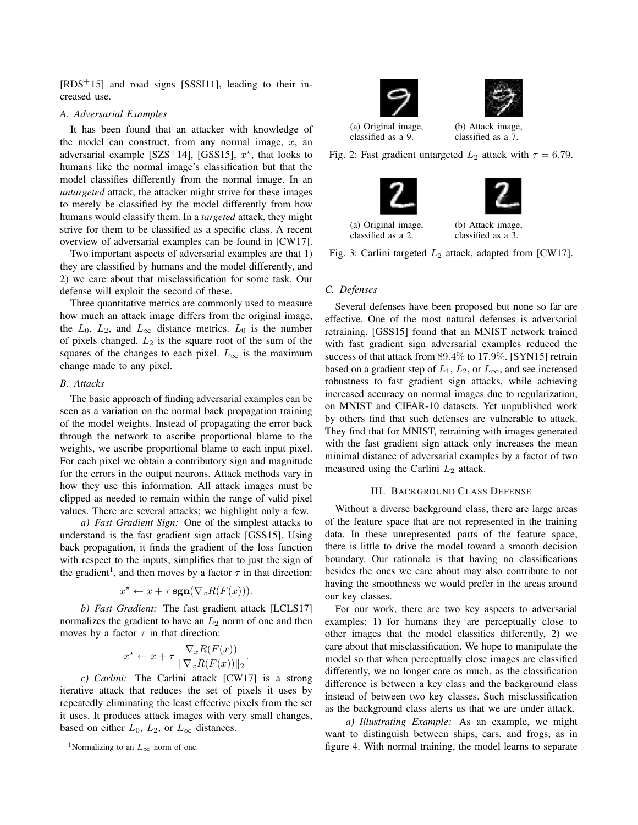$[RDS<sup>+</sup>15]$  and road signs [SSSI11], leading to their increased use.

#### *A. Adversarial Examples*

It has been found that an attacker with knowledge of the model can construct, from any normal image,  $x$ , an adversarial example [SZS<sup>+</sup>14], [GSS15],  $x^*$ , that looks to humans like the normal image's classification but that the model classifies differently from the normal image. In an *untargeted* attack, the attacker might strive for these images to merely be classified by the model differently from how humans would classify them. In a *targeted* attack, they might strive for them to be classified as a specific class. A recent overview of adversarial examples can be found in [CW17].

Two important aspects of adversarial examples are that 1) they are classified by humans and the model differently, and 2) we care about that misclassification for some task. Our defense will exploit the second of these.

Three quantitative metrics are commonly used to measure how much an attack image differs from the original image, the  $L_0$ ,  $L_2$ , and  $L_{\infty}$  distance metrics.  $L_0$  is the number of pixels changed.  $L_2$  is the square root of the sum of the squares of the changes to each pixel.  $L_{\infty}$  is the maximum change made to any pixel.

## *B. Attacks*

The basic approach of finding adversarial examples can be seen as a variation on the normal back propagation training of the model weights. Instead of propagating the error back through the network to ascribe proportional blame to the weights, we ascribe proportional blame to each input pixel. For each pixel we obtain a contributory sign and magnitude for the errors in the output neurons. Attack methods vary in how they use this information. All attack images must be clipped as needed to remain within the range of valid pixel values. There are several attacks; we highlight only a few.

*a) Fast Gradient Sign:* One of the simplest attacks to understand is the fast gradient sign attack [GSS15]. Using back propagation, it finds the gradient of the loss function with respect to the inputs, simplifies that to just the sign of the gradient<sup>1</sup>, and then moves by a factor  $\tau$  in that direction:

$$
x^* \leftarrow x + \tau \operatorname{sgn}(\nabla_x R(F(x))).
$$

*b) Fast Gradient:* The fast gradient attack [LCLS17] normalizes the gradient to have an  $L_2$  norm of one and then moves by a factor  $\tau$  in that direction:

$$
x^* \leftarrow x + \tau \frac{\nabla_x R(F(x))}{\|\nabla_x R(F(x))\|_2}
$$

.

*c) Carlini:* The Carlini attack [CW17] is a strong iterative attack that reduces the set of pixels it uses by repeatedly eliminating the least effective pixels from the set it uses. It produces attack images with very small changes, based on either  $L_0$ ,  $L_2$ , or  $L_{\infty}$  distances.

<sup>1</sup>Normalizing to an  $L_{\infty}$  norm of one.



(a) Original image, classified as a 9.

(b) Attack image, classified as a 7.

Fig. 2: Fast gradient untargeted  $L_2$  attack with  $\tau = 6.79$ .





(a) Original image, classified as a 2.

(b) Attack image, classified as a 3.

Fig. 3: Carlini targeted  $L_2$  attack, adapted from [CW17].

## *C. Defenses*

Several defenses have been proposed but none so far are effective. One of the most natural defenses is adversarial retraining. [GSS15] found that an MNIST network trained with fast gradient sign adversarial examples reduced the success of that attack from 89.4% to 17.9%. [SYN15] retrain based on a gradient step of  $L_1$ ,  $L_2$ , or  $L_{\infty}$ , and see increased robustness to fast gradient sign attacks, while achieving increased accuracy on normal images due to regularization, on MNIST and CIFAR-10 datasets. Yet unpublished work by others find that such defenses are vulnerable to attack. They find that for MNIST, retraining with images generated with the fast gradient sign attack only increases the mean minimal distance of adversarial examples by a factor of two measured using the Carlini  $L_2$  attack.

## III. BACKGROUND CLASS DEFENSE

Without a diverse background class, there are large areas of the feature space that are not represented in the training data. In these unrepresented parts of the feature space, there is little to drive the model toward a smooth decision boundary. Our rationale is that having no classifications besides the ones we care about may also contribute to not having the smoothness we would prefer in the areas around our key classes.

For our work, there are two key aspects to adversarial examples: 1) for humans they are perceptually close to other images that the model classifies differently, 2) we care about that misclassification. We hope to manipulate the model so that when perceptually close images are classified differently, we no longer care as much, as the classification difference is between a key class and the background class instead of between two key classes. Such misclassification as the background class alerts us that we are under attack.

*a) Illustrating Example:* As an example, we might want to distinguish between ships, cars, and frogs, as in figure 4. With normal training, the model learns to separate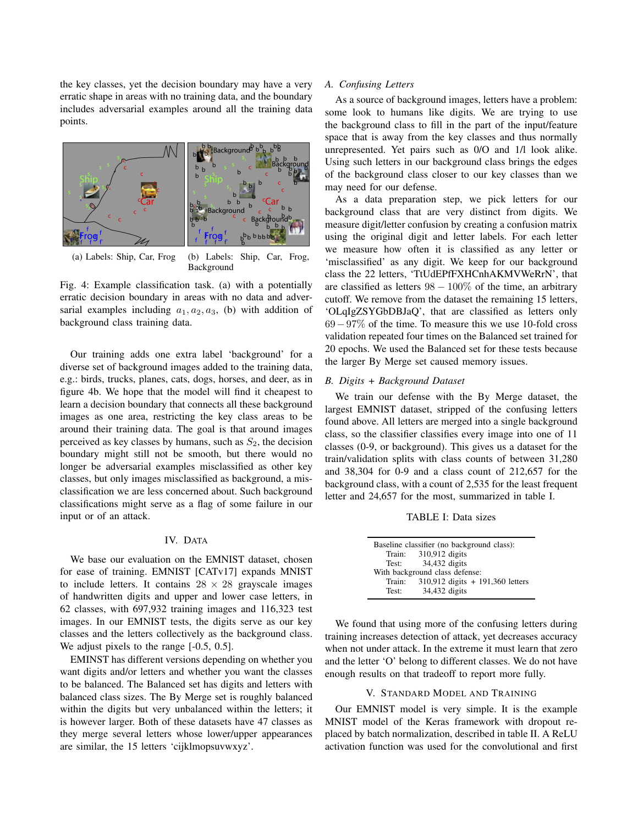the key classes, yet the decision boundary may have a very erratic shape in areas with no training data, and the boundary includes adversarial examples around all the training data points.



(a) Labels: Ship, Car, Frog (b) Labels: Ship, Car, Frog, Background

Fig. 4: Example classification task. (a) with a potentially erratic decision boundary in areas with no data and adversarial examples including  $a_1, a_2, a_3$ , (b) with addition of background class training data.

Our training adds one extra label 'background' for a diverse set of background images added to the training data, e.g.: birds, trucks, planes, cats, dogs, horses, and deer, as in figure 4b. We hope that the model will find it cheapest to learn a decision boundary that connects all these background images as one area, restricting the key class areas to be around their training data. The goal is that around images perceived as key classes by humans, such as  $S_2$ , the decision boundary might still not be smooth, but there would no longer be adversarial examples misclassified as other key classes, but only images misclassified as background, a misclassification we are less concerned about. Such background classifications might serve as a flag of some failure in our input or of an attack.

# IV. DATA

We base our evaluation on the EMNIST dataset, chosen for ease of training. EMNIST [CATv17] expands MNIST to include letters. It contains  $28 \times 28$  grayscale images of handwritten digits and upper and lower case letters, in 62 classes, with 697,932 training images and 116,323 test images. In our EMNIST tests, the digits serve as our key classes and the letters collectively as the background class. We adjust pixels to the range  $[-0.5, 0.5]$ .

EMINST has different versions depending on whether you want digits and/or letters and whether you want the classes to be balanced. The Balanced set has digits and letters with balanced class sizes. The By Merge set is roughly balanced within the digits but very unbalanced within the letters; it is however larger. Both of these datasets have 47 classes as they merge several letters whose lower/upper appearances are similar, the 15 letters 'cijklmopsuvwxyz'.

#### *A. Confusing Letters*

As a source of background images, letters have a problem: some look to humans like digits. We are trying to use the background class to fill in the part of the input/feature space that is away from the key classes and thus normally unrepresented. Yet pairs such as 0/O and 1/l look alike. Using such letters in our background class brings the edges of the background class closer to our key classes than we may need for our defense.

As a data preparation step, we pick letters for our background class that are very distinct from digits. We measure digit/letter confusion by creating a confusion matrix using the original digit and letter labels. For each letter we measure how often it is classified as any letter or 'misclassified' as any digit. We keep for our background class the 22 letters, 'TtUdEPfFXHCnhAKMVWeRrN', that are classified as letters  $98 - 100\%$  of the time, an arbitrary cutoff. We remove from the dataset the remaining 15 letters, 'OLqIgZSYGbDBJaQ', that are classified as letters only 69−97% of the time. To measure this we use 10-fold cross validation repeated four times on the Balanced set trained for 20 epochs. We used the Balanced set for these tests because the larger By Merge set caused memory issues.

#### *B. Digits + Background Dataset*

We train our defense with the By Merge dataset, the largest EMNIST dataset, stripped of the confusing letters found above. All letters are merged into a single background class, so the classifier classifies every image into one of 11 classes (0-9, or background). This gives us a dataset for the train/validation splits with class counts of between 31,280 and 38,304 for 0-9 and a class count of 212,657 for the background class, with a count of 2,535 for the least frequent letter and 24,657 for the most, summarized in table I.

TABLE I: Data sizes

| Baseline classifier (no background class): |                                    |  |  |  |
|--------------------------------------------|------------------------------------|--|--|--|
|                                            | Train: $310,912$ digits            |  |  |  |
| Test:                                      | 34,432 digits                      |  |  |  |
| With background class defense:             |                                    |  |  |  |
| Train:                                     | $310,912$ digits + 191,360 letters |  |  |  |
| Test:                                      | 34,432 digits                      |  |  |  |

We found that using more of the confusing letters during training increases detection of attack, yet decreases accuracy when not under attack. In the extreme it must learn that zero and the letter 'O' belong to different classes. We do not have enough results on that tradeoff to report more fully.

## V. STANDARD MODEL AND TRAINING

Our EMNIST model is very simple. It is the example MNIST model of the Keras framework with dropout replaced by batch normalization, described in table II. A ReLU activation function was used for the convolutional and first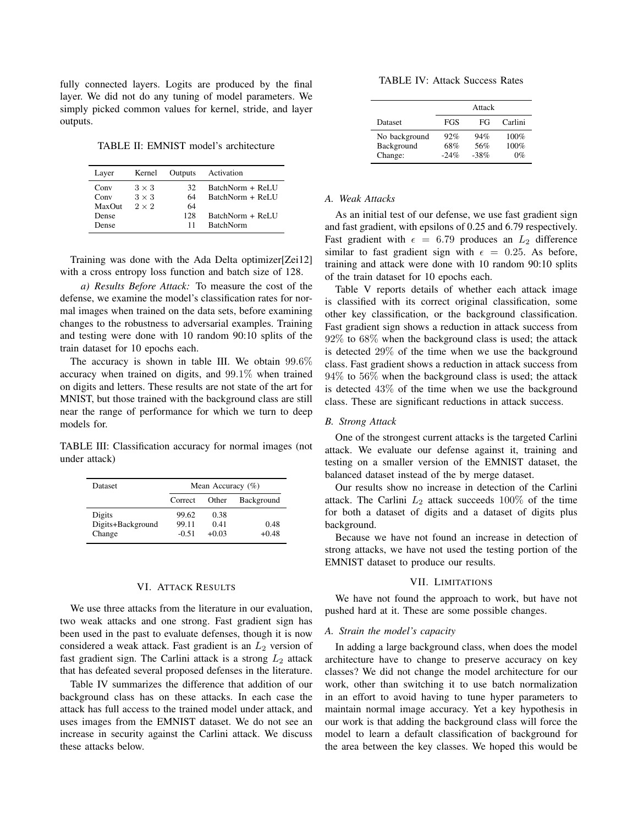fully connected layers. Logits are produced by the final layer. We did not do any tuning of model parameters. We simply picked common values for kernel, stride, and layer outputs.

TABLE II: EMNIST model's architecture

| Layer  | Kernel       | Outputs | Activation       |
|--------|--------------|---------|------------------|
| Conv   | $3 \times 3$ | 32      | BatchNorm + ReLU |
| Conv   | $3 \times 3$ | 64      | BatchNorm + ReLU |
| MaxOut | $2 \times 2$ | 64      |                  |
| Dense  |              | 128     | BatchNorm + ReLU |
| Dense  |              | 11      | <b>BatchNorm</b> |

Training was done with the Ada Delta optimizer[Zei12] with a cross entropy loss function and batch size of 128.

*a) Results Before Attack:* To measure the cost of the defense, we examine the model's classification rates for normal images when trained on the data sets, before examining changes to the robustness to adversarial examples. Training and testing were done with 10 random 90:10 splits of the train dataset for 10 epochs each.

The accuracy is shown in table III. We obtain  $99.6\%$ accuracy when trained on digits, and 99.1% when trained on digits and letters. These results are not state of the art for MNIST, but those trained with the background class are still near the range of performance for which we turn to deep models for.

TABLE III: Classification accuracy for normal images (not under attack)

| Dataset                               | Mean Accuracy $(\% )$     |                         |                 |  |
|---------------------------------------|---------------------------|-------------------------|-----------------|--|
|                                       | Correct                   | Other                   | Background      |  |
| Digits<br>Digits+Background<br>Change | 99.62<br>99.11<br>$-0.51$ | 0.38<br>0.41<br>$+0.03$ | 0.48<br>$+0.48$ |  |

## VI. ATTACK RESULTS

We use three attacks from the literature in our evaluation, two weak attacks and one strong. Fast gradient sign has been used in the past to evaluate defenses, though it is now considered a weak attack. Fast gradient is an  $L_2$  version of fast gradient sign. The Carlini attack is a strong  $L_2$  attack that has defeated several proposed defenses in the literature.

Table IV summarizes the difference that addition of our background class has on these attacks. In each case the attack has full access to the trained model under attack, and uses images from the EMNIST dataset. We do not see an increase in security against the Carlini attack. We discuss these attacks below.

TABLE IV: Attack Success Rates

|                       | Attack        |               |            |
|-----------------------|---------------|---------------|------------|
| <b>Dataset</b>        | FGS           | FG            | Carlini    |
| No background         | 92%           | 94%           | 100%       |
| Background<br>Change: | 68%<br>$-24%$ | 56%<br>$-38%$ | 100%<br>0% |

## *A. Weak Attacks*

As an initial test of our defense, we use fast gradient sign and fast gradient, with epsilons of 0.25 and 6.79 respectively. Fast gradient with  $\epsilon = 6.79$  produces an  $L_2$  difference similar to fast gradient sign with  $\epsilon = 0.25$ . As before, training and attack were done with 10 random 90:10 splits of the train dataset for 10 epochs each.

Table V reports details of whether each attack image is classified with its correct original classification, some other key classification, or the background classification. Fast gradient sign shows a reduction in attack success from 92% to 68% when the background class is used; the attack is detected 29% of the time when we use the background class. Fast gradient shows a reduction in attack success from  $94\%$  to  $56\%$  when the background class is used; the attack is detected 43% of the time when we use the background class. These are significant reductions in attack success.

#### *B. Strong Attack*

One of the strongest current attacks is the targeted Carlini attack. We evaluate our defense against it, training and testing on a smaller version of the EMNIST dataset, the balanced dataset instead of the by merge dataset.

Our results show no increase in detection of the Carlini attack. The Carlini  $L_2$  attack succeeds 100% of the time for both a dataset of digits and a dataset of digits plus background.

Because we have not found an increase in detection of strong attacks, we have not used the testing portion of the EMNIST dataset to produce our results.

## VII. LIMITATIONS

We have not found the approach to work, but have not pushed hard at it. These are some possible changes.

#### *A. Strain the model's capacity*

In adding a large background class, when does the model architecture have to change to preserve accuracy on key classes? We did not change the model architecture for our work, other than switching it to use batch normalization in an effort to avoid having to tune hyper parameters to maintain normal image accuracy. Yet a key hypothesis in our work is that adding the background class will force the model to learn a default classification of background for the area between the key classes. We hoped this would be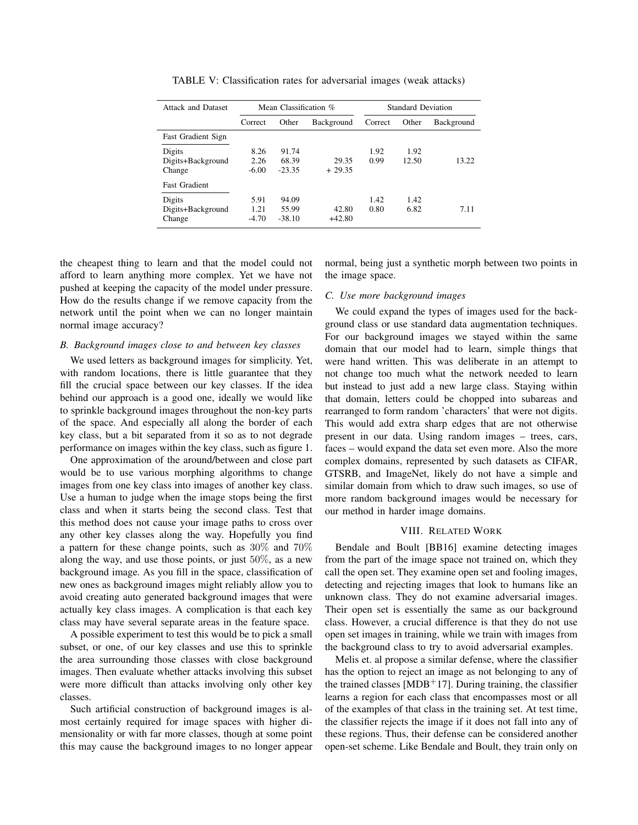| <b>Attack and Dataset</b> | Mean Classification % |          |            | <b>Standard Deviation</b> |       |            |
|---------------------------|-----------------------|----------|------------|---------------------------|-------|------------|
|                           | Correct               | Other    | Background | Correct                   | Other | Background |
| <b>Fast Gradient Sign</b> |                       |          |            |                           |       |            |
| Digits                    | 8.26                  | 91.74    |            | 1.92                      | 1.92  |            |
| Digits+Background         | 2.26                  | 68.39    | 29.35      | 0.99                      | 12.50 | 13.22      |
| Change                    | $-6.00$               | $-23.35$ | $+29.35$   |                           |       |            |
| <b>Fast Gradient</b>      |                       |          |            |                           |       |            |
| Digits                    | 5.91                  | 94.09    |            | 1.42                      | 1.42  |            |
| Digits+Background         | 1.21                  | 55.99    | 42.80      | 0.80                      | 6.82  | 7.11       |
| Change                    | $-4.70$               | $-38.10$ | $+42.80$   |                           |       |            |

TABLE V: Classification rates for adversarial images (weak attacks)

the cheapest thing to learn and that the model could not afford to learn anything more complex. Yet we have not pushed at keeping the capacity of the model under pressure. How do the results change if we remove capacity from the network until the point when we can no longer maintain normal image accuracy?

## *B. Background images close to and between key classes*

We used letters as background images for simplicity. Yet, with random locations, there is little guarantee that they fill the crucial space between our key classes. If the idea behind our approach is a good one, ideally we would like to sprinkle background images throughout the non-key parts of the space. And especially all along the border of each key class, but a bit separated from it so as to not degrade performance on images within the key class, such as figure 1.

One approximation of the around/between and close part would be to use various morphing algorithms to change images from one key class into images of another key class. Use a human to judge when the image stops being the first class and when it starts being the second class. Test that this method does not cause your image paths to cross over any other key classes along the way. Hopefully you find a pattern for these change points, such as 30% and 70% along the way, and use those points, or just 50%, as a new background image. As you fill in the space, classification of new ones as background images might reliably allow you to avoid creating auto generated background images that were actually key class images. A complication is that each key class may have several separate areas in the feature space.

A possible experiment to test this would be to pick a small subset, or one, of our key classes and use this to sprinkle the area surrounding those classes with close background images. Then evaluate whether attacks involving this subset were more difficult than attacks involving only other key classes.

Such artificial construction of background images is almost certainly required for image spaces with higher dimensionality or with far more classes, though at some point this may cause the background images to no longer appear normal, being just a synthetic morph between two points in the image space.

#### *C. Use more background images*

We could expand the types of images used for the background class or use standard data augmentation techniques. For our background images we stayed within the same domain that our model had to learn, simple things that were hand written. This was deliberate in an attempt to not change too much what the network needed to learn but instead to just add a new large class. Staying within that domain, letters could be chopped into subareas and rearranged to form random 'characters' that were not digits. This would add extra sharp edges that are not otherwise present in our data. Using random images – trees, cars, faces – would expand the data set even more. Also the more complex domains, represented by such datasets as CIFAR, GTSRB, and ImageNet, likely do not have a simple and similar domain from which to draw such images, so use of more random background images would be necessary for our method in harder image domains.

## VIII. RELATED WORK

Bendale and Boult [BB16] examine detecting images from the part of the image space not trained on, which they call the open set. They examine open set and fooling images, detecting and rejecting images that look to humans like an unknown class. They do not examine adversarial images. Their open set is essentially the same as our background class. However, a crucial difference is that they do not use open set images in training, while we train with images from the background class to try to avoid adversarial examples.

Melis et. al propose a similar defense, where the classifier has the option to reject an image as not belonging to any of the trained classes [MDB<sup>+</sup>17]. During training, the classifier learns a region for each class that encompasses most or all of the examples of that class in the training set. At test time, the classifier rejects the image if it does not fall into any of these regions. Thus, their defense can be considered another open-set scheme. Like Bendale and Boult, they train only on